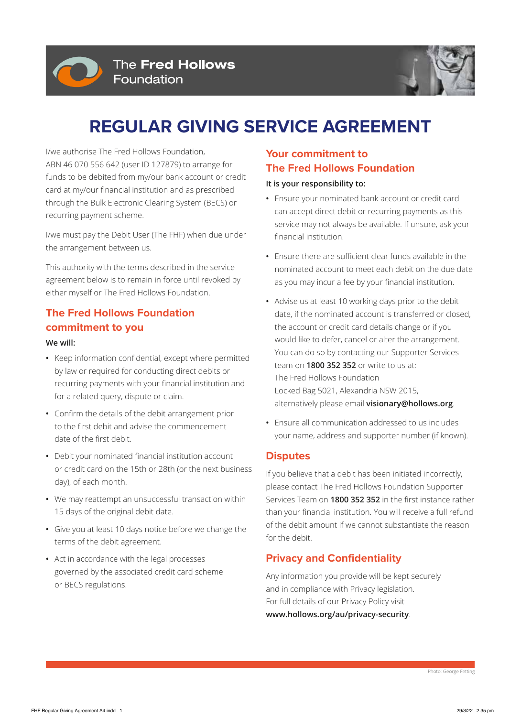



# **REGULAR GIVING SERVICE AGREEMENT**

I/we authorise The Fred Hollows Foundation, ABN 46 070 556 642 (user ID 127879) to arrange for funds to be debited from my/our bank account or credit card at my/our financial institution and as prescribed through the Bulk Electronic Clearing System (BECS) or recurring payment scheme.

I/we must pay the Debit User (The FHF) when due under the arrangement between us.

This authority with the terms described in the service agreement below is to remain in force until revoked by either myself or The Fred Hollows Foundation.

## **The Fred Hollows Foundation commitment to you**

#### **We will:**

- **•** Keep information confidential, except where permitted by law or required for conducting direct debits or recurring payments with your financial institution and for a related query, dispute or claim.
- **•** Confirm the details of the debit arrangement prior to the first debit and advise the commencement date of the first debit.
- **•** Debit your nominated financial institution account or credit card on the 15th or 28th (or the next business day), of each month.
- **•** We may reattempt an unsuccessful transaction within 15 days of the original debit date.
- **•** Give you at least 10 days notice before we change the terms of the debit agreement.
- **•** Act in accordance with the legal processes governed by the associated credit card scheme or BECS regulations.

## **Your commitment to The Fred Hollows Foundation**

#### **It is your responsibility to:**

- **•** Ensure your nominated bank account or credit card can accept direct debit or recurring payments as this service may not always be available. If unsure, ask your financial institution.
- **•** Ensure there are sufficient clear funds available in the nominated account to meet each debit on the due date as you may incur a fee by your financial institution.
- **•** Advise us at least 10 working days prior to the debit date, if the nominated account is transferred or closed, the account or credit card details change or if you would like to defer, cancel or alter the arrangement. You can do so by contacting our Supporter Services team on **1800 352 352** or write to us at: The Fred Hollows Foundation Locked Bag 5021, Alexandria NSW 2015, alternatively please email **visionary@hollows.org**.
- **•** Ensure all communication addressed to us includes your name, address and supporter number (if known).

### **Disputes**

If you believe that a debit has been initiated incorrectly, please contact The Fred Hollows Foundation Supporter Services Team on **1800 352 352** in the first instance rather than your financial institution. You will receive a full refund of the debit amount if we cannot substantiate the reason for the debit.

### **Privacy and Confidentiality**

Any information you provide will be kept securely and in compliance with Privacy legislation. For full details of our Privacy Policy visit **www.hollows.org/au/privacy-security**.